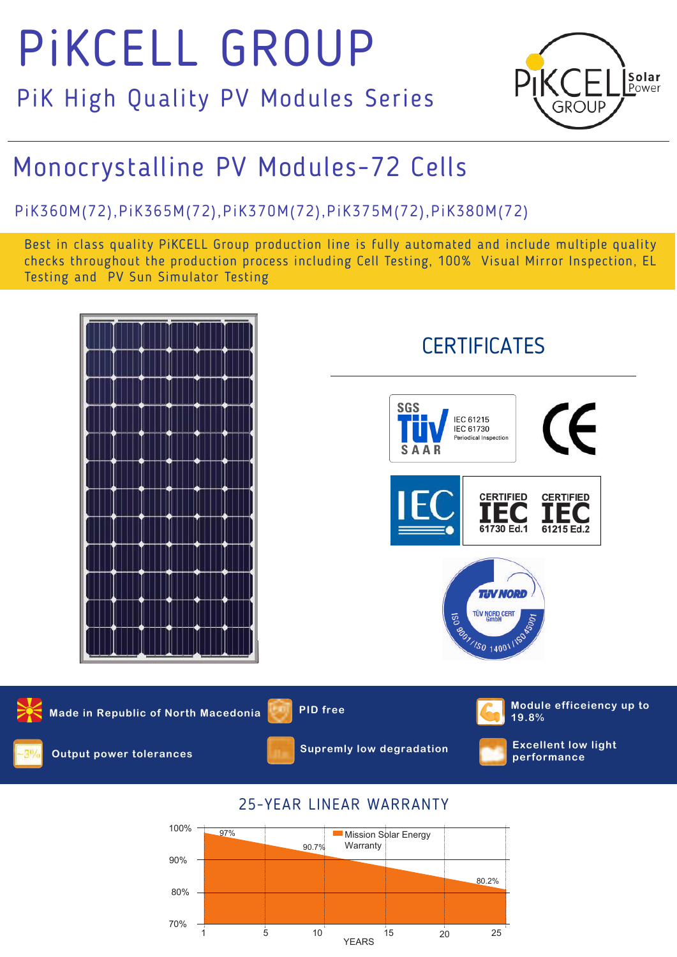# PiKCELL GROUP

PiK High Quality PV Modules Series



# Monocrystalline PV Modules-72 Cells

# PiK3 60M(7 2),PiK3 65M(72),PiK370M(7 2),PiK3 75M(7 2),PiK380M(7 2)

Best in class quality PiKCELL Group production line is fully automated and include multiple quality checks throughout the production process including Cell Testing, 100% Visual Mirror Inspection, EL Testing and PV Sun Simulator Testing



1 5 10 15 20 25 YEARS

70%